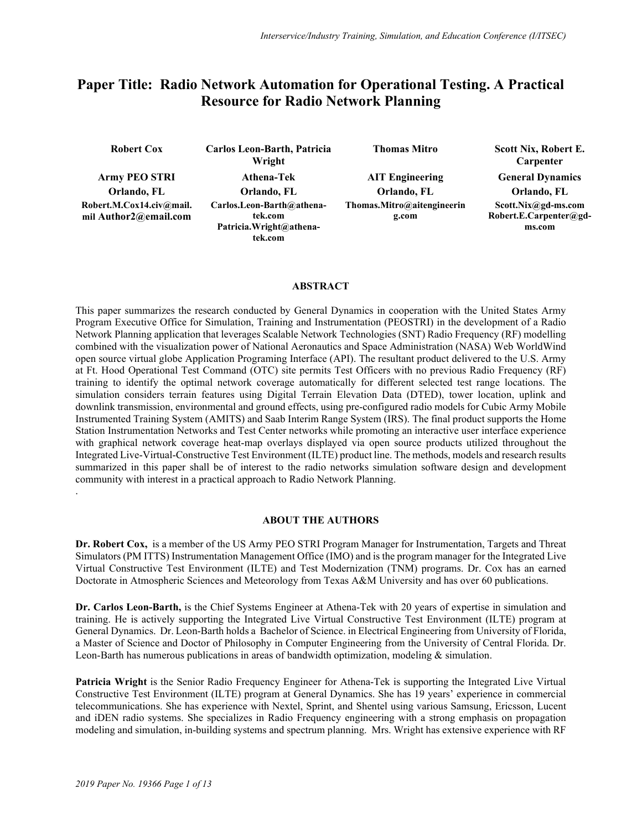# **Paper Title: Radio Network Automation for Operational Testing. A Practical Resource for Radio Network Planning**

| <b>Robert Cox</b>                                 | Carlos Leon-Barth, Patricia<br>Wright                                       | <b>Thomas Mitro</b>                   | Scott Nix, Robert E.<br>Carpenter                       |
|---------------------------------------------------|-----------------------------------------------------------------------------|---------------------------------------|---------------------------------------------------------|
| <b>Army PEO STRI</b><br>Orlando, FL               | Athena-Tek<br>Orlando, FL                                                   | <b>AIT Engineering</b><br>Orlando, FL | <b>General Dynamics</b><br>Orlando, FL                  |
| Robert.M.Cox14.civ@mail.<br>mil Author2@email.com | Carlos.Leon-Barth@athena-<br>tek.com<br>Patricia. Wright@athena-<br>tek.com | Thomas.Mitro@aitengineerin<br>g.com   | Scott.Nix@gd-ms.com<br>Robert.E.Carpenter@gd-<br>ms.com |

### **ABSTRACT**

This paper summarizes the research conducted by General Dynamics in cooperation with the United States Army Program Executive Office for Simulation, Training and Instrumentation (PEOSTRI) in the development of a Radio Network Planning application that leverages Scalable Network Technologies (SNT) Radio Frequency (RF) modelling combined with the visualization power of National Aeronautics and Space Administration (NASA) Web WorldWind open source virtual globe Application Programing Interface (API). The resultant product delivered to the U.S. Army at Ft. Hood Operational Test Command (OTC) site permits Test Officers with no previous Radio Frequency (RF) training to identify the optimal network coverage automatically for different selected test range locations. The simulation considers terrain features using Digital Terrain Elevation Data (DTED), tower location, uplink and downlink transmission, environmental and ground effects, using pre-configured radio models for Cubic Army Mobile Instrumented Training System (AMITS) and Saab Interim Range System (IRS). The final product supports the Home Station Instrumentation Networks and Test Center networks while promoting an interactive user interface experience with graphical network coverage heat-map overlays displayed via open source products utilized throughout the Integrated Live-Virtual-Constructive Test Environment (ILTE) product line. The methods, models and research results summarized in this paper shall be of interest to the radio networks simulation software design and development community with interest in a practical approach to Radio Network Planning.

#### **ABOUT THE AUTHORS**

**Dr. Robert Cox,** is a member of the US Army PEO STRI Program Manager for Instrumentation, Targets and Threat Simulators (PM ITTS) Instrumentation Management Office (IMO) and is the program manager for the Integrated Live Virtual Constructive Test Environment (ILTE) and Test Modernization (TNM) programs. Dr. Cox has an earned Doctorate in Atmospheric Sciences and Meteorology from Texas A&M University and has over 60 publications.

**Dr. Carlos Leon-Barth,** is the Chief Systems Engineer at Athena-Tek with 20 years of expertise in simulation and training. He is actively supporting the Integrated Live Virtual Constructive Test Environment (ILTE) program at General Dynamics. Dr. Leon-Barth holds a Bachelor of Science. in Electrical Engineering from University of Florida, a Master of Science and Doctor of Philosophy in Computer Engineering from the University of Central Florida. Dr. Leon-Barth has numerous publications in areas of bandwidth optimization, modeling & simulation.

**Patricia Wright** is the Senior Radio Frequency Engineer for Athena-Tek is supporting the Integrated Live Virtual Constructive Test Environment (ILTE) program at General Dynamics. She has 19 years' experience in commercial telecommunications. She has experience with Nextel, Sprint, and Shentel using various Samsung, Ericsson, Lucent and iDEN radio systems. She specializes in Radio Frequency engineering with a strong emphasis on propagation modeling and simulation, in-building systems and spectrum planning. Mrs. Wright has extensive experience with RF

.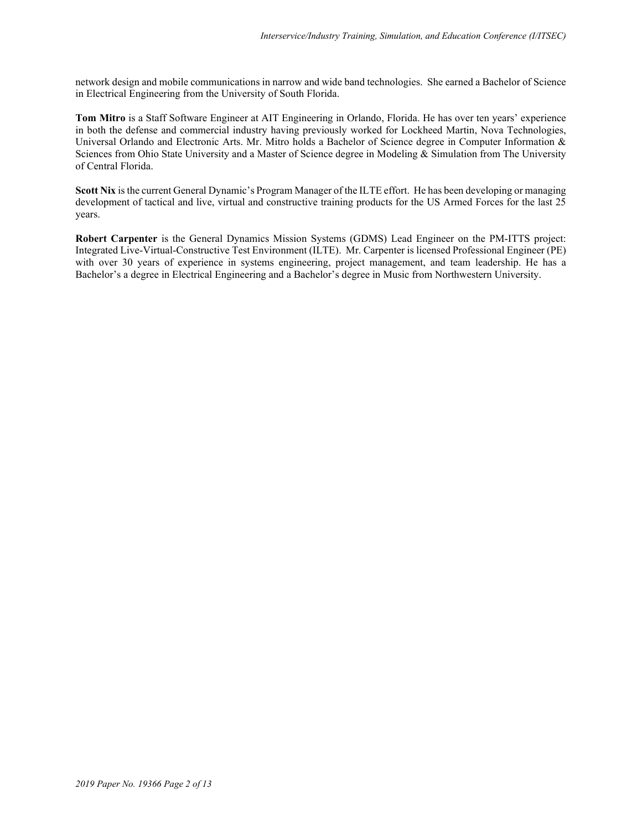network design and mobile communications in narrow and wide band technologies. She earned a Bachelor of Science in Electrical Engineering from the University of South Florida.

**Tom Mitro** is a Staff Software Engineer at AIT Engineering in Orlando, Florida. He has over ten years' experience in both the defense and commercial industry having previously worked for Lockheed Martin, Nova Technologies, Universal Orlando and Electronic Arts. Mr. Mitro holds a Bachelor of Science degree in Computer Information & Sciences from Ohio State University and a Master of Science degree in Modeling & Simulation from The University of Central Florida.

**Scott Nix** is the current General Dynamic's Program Manager of the ILTE effort. He has been developing or managing development of tactical and live, virtual and constructive training products for the US Armed Forces for the last 25 years.

**Robert Carpenter** is the General Dynamics Mission Systems (GDMS) Lead Engineer on the PM-ITTS project: Integrated Live-Virtual-Constructive Test Environment (ILTE). Mr. Carpenter is licensed Professional Engineer (PE) with over 30 years of experience in systems engineering, project management, and team leadership. He has a Bachelor's a degree in Electrical Engineering and a Bachelor's degree in Music from Northwestern University.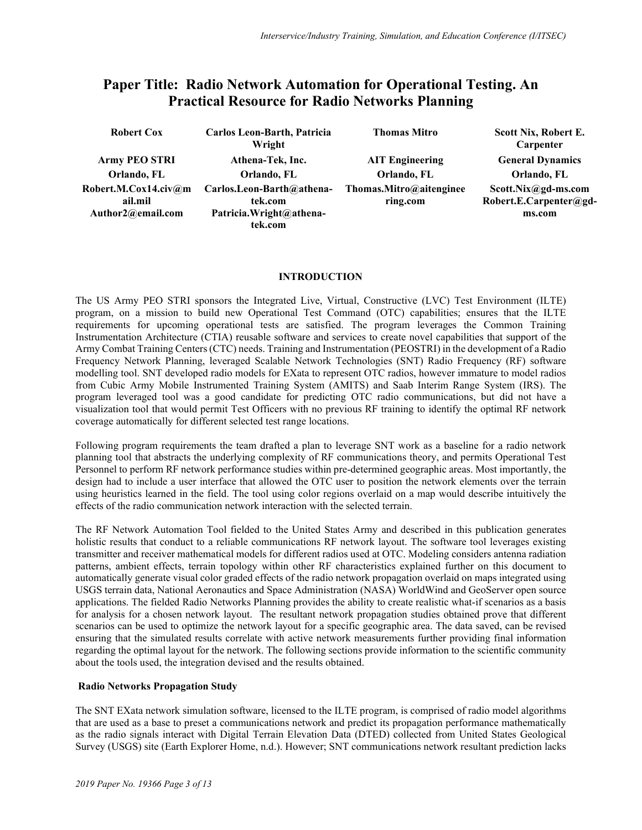# **Paper Title: Radio Network Automation for Operational Testing. An Practical Resource for Radio Networks Planning**

| <b>Robert Cox</b>    | Carlos Leon-Barth, Patricia<br>Wright | <b>Thomas Mitro</b>     | Scott Nix, Robert E.<br>Carpenter |
|----------------------|---------------------------------------|-------------------------|-----------------------------------|
| <b>Army PEO STRI</b> | Athena-Tek, Inc.                      | <b>AIT Engineering</b>  | <b>General Dynamics</b>           |
| Orlando, FL          | Orlando, FL                           | Orlando, FL             | Orlando, FL                       |
| Robert.M.Cox14.civ@m | Carlos.Leon-Barth@athena-             | Thomas.Mitro@aitenginee | Scott.Nix@gd-ms.com               |
| ail.mil              | tek.com                               | ring.com                | Robert.E.Carpenter@gd-            |
| Author2@email.com    | Patricia. Wright@athena-              |                         | ms.com                            |
|                      | tek.com                               |                         |                                   |

## **INTRODUCTION**

The US Army PEO STRI sponsors the Integrated Live, Virtual, Constructive (LVC) Test Environment (ILTE) program, on a mission to build new Operational Test Command (OTC) capabilities; ensures that the ILTE requirements for upcoming operational tests are satisfied. The program leverages the Common Training Instrumentation Architecture (CTIA) reusable software and services to create novel capabilities that support of the Army Combat Training Centers (CTC) needs. Training and Instrumentation (PEOSTRI) in the development of a Radio Frequency Network Planning, leveraged Scalable Network Technologies (SNT) Radio Frequency (RF) software modelling tool. SNT developed radio models for EXata to represent OTC radios, however immature to model radios from Cubic Army Mobile Instrumented Training System (AMITS) and Saab Interim Range System (IRS). The program leveraged tool was a good candidate for predicting OTC radio communications, but did not have a visualization tool that would permit Test Officers with no previous RF training to identify the optimal RF network coverage automatically for different selected test range locations.

Following program requirements the team drafted a plan to leverage SNT work as a baseline for a radio network planning tool that abstracts the underlying complexity of RF communications theory, and permits Operational Test Personnel to perform RF network performance studies within pre-determined geographic areas. Most importantly, the design had to include a user interface that allowed the OTC user to position the network elements over the terrain using heuristics learned in the field. The tool using color regions overlaid on a map would describe intuitively the effects of the radio communication network interaction with the selected terrain.

The RF Network Automation Tool fielded to the United States Army and described in this publication generates holistic results that conduct to a reliable communications RF network layout. The software tool leverages existing transmitter and receiver mathematical models for different radios used at OTC. Modeling considers antenna radiation patterns, ambient effects, terrain topology within other RF characteristics explained further on this document to automatically generate visual color graded effects of the radio network propagation overlaid on maps integrated using USGS terrain data, National Aeronautics and Space Administration (NASA) WorldWind and GeoServer open source applications. The fielded Radio Networks Planning provides the ability to create realistic what-if scenarios as a basis for analysis for a chosen network layout. The resultant network propagation studies obtained prove that different scenarios can be used to optimize the network layout for a specific geographic area. The data saved, can be revised ensuring that the simulated results correlate with active network measurements further providing final information regarding the optimal layout for the network. The following sections provide information to the scientific community about the tools used, the integration devised and the results obtained.

## **Radio Networks Propagation Study**

The SNT EXata network simulation software, licensed to the ILTE program, is comprised of radio model algorithms that are used as a base to preset a communications network and predict its propagation performance mathematically as the radio signals interact with Digital Terrain Elevation Data (DTED) collected from United States Geological Survey (USGS) site (Earth Explorer Home, n.d.). However; SNT communications network resultant prediction lacks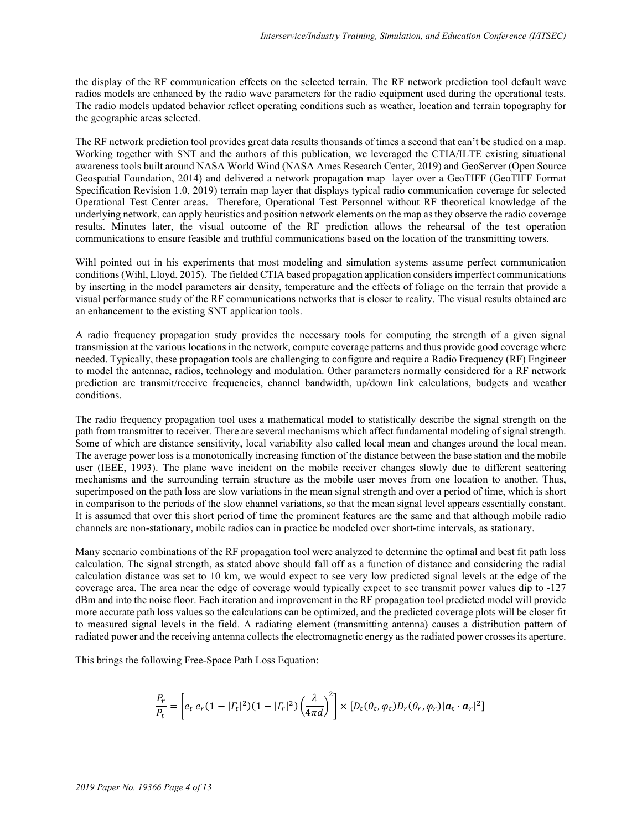the display of the RF communication effects on the selected terrain. The RF network prediction tool default wave radios models are enhanced by the radio wave parameters for the radio equipment used during the operational tests. The radio models updated behavior reflect operating conditions such as weather, location and terrain topography for the geographic areas selected.

The RF network prediction tool provides great data results thousands of times a second that can't be studied on a map. Working together with SNT and the authors of this publication, we leveraged the CTIA/ILTE existing situational awareness tools built around NASA World Wind (NASA Ames Research Center, 2019) and GeoServer (Open Source Geospatial Foundation, 2014) and delivered a network propagation map layer over a GeoTIFF (GeoTIFF Format Specification Revision 1.0, 2019) terrain map layer that displays typical radio communication coverage for selected Operational Test Center areas. Therefore, Operational Test Personnel without RF theoretical knowledge of the underlying network, can apply heuristics and position network elements on the map as they observe the radio coverage results. Minutes later, the visual outcome of the RF prediction allows the rehearsal of the test operation communications to ensure feasible and truthful communications based on the location of the transmitting towers.

Wihl pointed out in his experiments that most modeling and simulation systems assume perfect communication conditions (Wihl, Lloyd, 2015). The fielded CTIA based propagation application considers imperfect communications by inserting in the model parameters air density, temperature and the effects of foliage on the terrain that provide a visual performance study of the RF communications networks that is closer to reality. The visual results obtained are an enhancement to the existing SNT application tools.

A radio frequency propagation study provides the necessary tools for computing the strength of a given signal transmission at the various locations in the network, compute coverage patterns and thus provide good coverage where needed. Typically, these propagation tools are challenging to configure and require a Radio Frequency (RF) Engineer to model the antennae, radios, technology and modulation. Other parameters normally considered for a RF network prediction are transmit/receive frequencies, channel bandwidth, up/down link calculations, budgets and weather conditions.

The radio frequency propagation tool uses a mathematical model to statistically describe the signal strength on the path from transmitter to receiver. There are several mechanisms which affect fundamental modeling of signal strength. Some of which are distance sensitivity, local variability also called local mean and changes around the local mean. The average power loss is a monotonically increasing function of the distance between the base station and the mobile user (IEEE, 1993). The plane wave incident on the mobile receiver changes slowly due to different scattering mechanisms and the surrounding terrain structure as the mobile user moves from one location to another. Thus, superimposed on the path loss are slow variations in the mean signal strength and over a period of time, which is short in comparison to the periods of the slow channel variations, so that the mean signal level appears essentially constant. It is assumed that over this short period of time the prominent features are the same and that although mobile radio channels are non-stationary, mobile radios can in practice be modeled over short-time intervals, as stationary.

Many scenario combinations of the RF propagation tool were analyzed to determine the optimal and best fit path loss calculation. The signal strength, as stated above should fall off as a function of distance and considering the radial calculation distance was set to 10 km, we would expect to see very low predicted signal levels at the edge of the coverage area. The area near the edge of coverage would typically expect to see transmit power values dip to -127 dBm and into the noise floor. Each iteration and improvement in the RF propagation tool predicted model will provide more accurate path loss values so the calculations can be optimized, and the predicted coverage plots will be closer fit to measured signal levels in the field. A radiating element (transmitting antenna) causes a distribution pattern of radiated power and the receiving antenna collects the electromagnetic energy as the radiated power crosses its aperture.

This brings the following Free-Space Path Loss Equation:

$$
\frac{P_r}{P_t} = \left[ e_t \, e_r (1-|{\varGamma}_t|^2)(1-|{\varGamma}_r|^2) \left(\frac{\lambda}{4\pi d}\right)^2 \right] \times \left[ D_t(\theta_t,\varphi_t) D_r(\theta_r,\varphi_r) |\textbf{a}_\text{t} \cdot \textbf{a}_r|^2 \right]
$$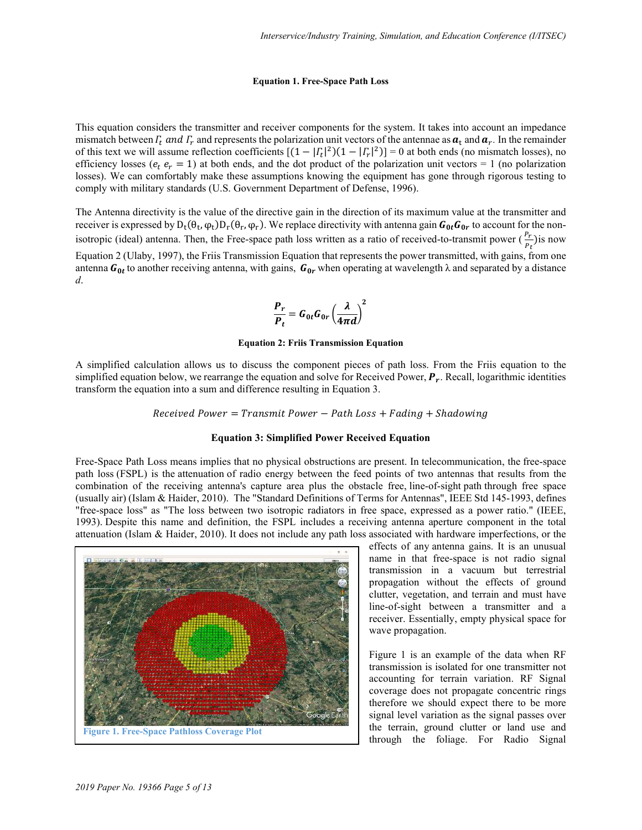#### **Equation 1. Free-Space Path Loss**

This equation considers the transmitter and receiver components for the system. It takes into account an impedance mismatch between  $\Gamma_t$  and  $\Gamma_r$  and represents the polarization unit vectors of the antennae as  $a_t$  and  $a_r$ . In the remainder of this text we will assume reflection coefficients  $[(1 - |T_t|^2)(1 - |T_r|^2)] = 0$  at both ends (no mismatch losses), no efficiency losses ( $e_t$ ,  $e_r$  = 1) at both ends, and the dot product of the polarization unit vectors = 1 (no polarization losses). We can comfortably make these assumptions knowing the equipment has gone through rigorous testing to comply with military standards (U.S. Government Department of Defense, 1996).

The Antenna directivity is the value of the directive gain in the direction of its maximum value at the transmitter and receiver is expressed by  $D_t(\theta_t, \varphi_t)D_r(\theta_r, \varphi_r)$ . We replace directivity with antenna gain  $G_{0t}G_{0r}$  to account for the nonisotropic (ideal) antenna. Then, the Free-space path loss written as a ratio of received-to-transmit power  $(\frac{P_r}{n})$ is now [Equation 2 \(](#page-4-0)Ulaby, 1997), the Friis Transmission Equation that represents the power transmitted, with gains, from one antenna  $G_{0t}$  to another receiving antenna, with gains,  $G_{0r}$  when operating at wavelength  $\lambda$  and separated by a distance *d*.

$$
\frac{P_r}{P_t} = G_{0t} G_{0r} \left(\frac{\lambda}{4\pi d}\right)^2
$$

#### **Equation 2: Friis Transmission Equation**

<span id="page-4-0"></span>A simplified calculation allows us to discuss the component pieces of path loss. From the Friis equation to the simplified equation below, we rearrange the equation and solve for Received Power,  $P_r$ . Recall, logarithmic identities transform the equation into a sum and difference resulting in [Equation 3.](#page-4-1) 

 $Received Power = Transform$   $Power - Path Loss + Fading + Shadowing$ 

#### **Equation 3: Simplified Power Received Equation**

<span id="page-4-1"></span>Free-Space Path Loss means implies that no physical obstructions are present. In [telecommunication,](https://en.wikipedia.org/wiki/Telecommunication) the free-space path loss (FSPL) is the [attenuation](https://en.wikipedia.org/wiki/Attenuation) of radio energy between the feed points of two antennas that results from the combination of the receiving antenna's capture area plus the obstacle free, [line-of-sight](https://en.wikipedia.org/wiki/Line-of-sight_propagation) path [through free space](https://en.wikipedia.org/wiki/Free-space_optical_communication) (usually air) (Islam & Haider, 2010). The "Standard Definitions of Terms for Antennas", IEEE Std 145-1993, defines "free-space loss" as "The loss between two isotropic radiators in free space, expressed as a power ratio." (IEEE, 1993). Despite this name and definition, the FSPL includes a receiving antenna aperture component in the total attenuation (Islam & Haider, 2010). It does not include any [path loss](https://en.wikipedia.org/wiki/Path_loss) associated with hardware imperfections, or the

<span id="page-4-2"></span>

effects of any [antenna gains.](https://en.wikipedia.org/wiki/Antenna_gain) It is an unusual name in that free-space is not radio signal transmission in a vacuum but terrestrial propagation without the effects of ground clutter, vegetation, and terrain and must have line-of-sight between a transmitter and a receiver. Essentially, empty physical space for wave propagation.

[Figure 1](#page-4-2) is an example of the data when RF transmission is isolated for one transmitter not accounting for terrain variation. RF Signal coverage does not propagate concentric rings therefore we should expect there to be more signal level variation as the signal passes over the terrain, ground clutter or land use and through the foliage. For Radio Signal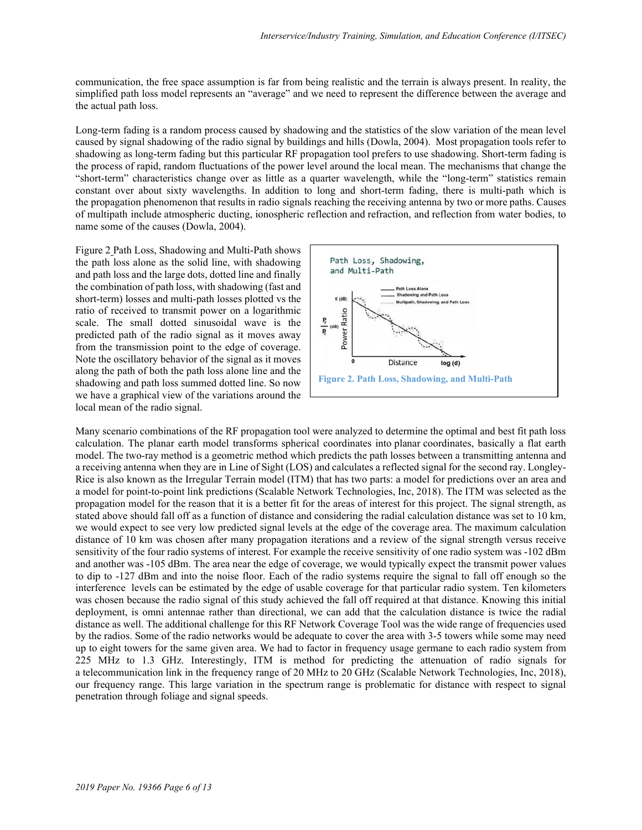communication, the free space assumption is far from being realistic and the terrain is always present. In reality, the simplified path loss model represents an "average" and we need to represent the difference between the average and the actual path loss.

Long-term fading is a random process caused by shadowing and the statistics of the slow variation of the mean level caused by signal shadowing of the radio signal by buildings and hills (Dowla, 2004). Most propagation tools refer to shadowing as long-term fading but this particular RF propagation tool prefers to use shadowing. Short-term fading is the process of rapid, random fluctuations of the power level around the local mean. The mechanisms that change the "short-term" characteristics change over as little as a quarter wavelength, while the "long-term" statistics remain constant over about sixty wavelengths. In addition to long and short-term fading, there is multi-path which is the [propagation](https://en.wikipedia.org/wiki/Radio_propagation) phenomenon that results in [radio](https://en.wikipedia.org/wiki/Radio) [signals](https://en.wikipedia.org/wiki/Signalling_(telecommunications)) reaching the receiving [antenna](https://en.wikipedia.org/wiki/Antenna_(electronics)) by two or more paths. Causes of multipath include [atmospheric ducting,](https://en.wikipedia.org/wiki/Atmospheric_ducting) [ionospheric reflection](https://en.wikipedia.org/wiki/Ionospheric_reflection) and [refraction,](https://en.wikipedia.org/wiki/Refraction) and [reflection](https://en.wikipedia.org/wiki/Reflection_(physics)) from water bodies, to name some of the causes (Dowla, 2004).

[Figure 2](#page-5-0) Path Loss, Shadowing and Multi-Path shows the path loss alone as the solid line, with shadowing and path loss and the large dots, dotted line and finally the combination of path loss, with shadowing (fast and short-term) losses and multi-path losses plotted vs the ratio of received to transmit power on a logarithmic scale. The small dotted sinusoidal wave is the predicted path of the radio signal as it moves away from the transmission point to the edge of coverage. Note the oscillatory behavior of the signal as it moves along the path of both the path loss alone line and the shadowing and path loss summed dotted line. So now we have a graphical view of the variations around the local mean of the radio signal.

<span id="page-5-0"></span>

Many scenario combinations of the RF propagation tool were analyzed to determine the optimal and best fit path loss calculation. The planar earth model transforms spherical coordinates into planar coordinates, basically a flat earth model. The two-ray method is a geometric method which predicts the path losses between a transmitting antenna and a receiving antenna when they are in Line of Sight (LOS) and calculates a reflected signal for the second ray. Longley-Rice is also known as the Irregular Terrain model (ITM) that has two parts: a model for predictions over an area and a model for [point-to-point link](https://en.wikipedia.org/wiki/Point-to-point_link) predictions (Scalable Network Technologies, Inc, 2018). The ITM was selected as the propagation model for the reason that it is a better fit for the areas of interest for this project. The signal strength, as stated above should fall off as a function of distance and considering the radial calculation distance was set to 10 km, we would expect to see very low predicted signal levels at the edge of the coverage area. The maximum calculation distance of 10 km was chosen after many propagation iterations and a review of the signal strength versus receive sensitivity of the four radio systems of interest. For example the receive sensitivity of one radio system was -102 dBm and another was -105 dBm. The area near the edge of coverage, we would typically expect the transmit power values to dip to -127 dBm and into the noise floor. Each of the radio systems require the signal to fall off enough so the interference levels can be estimated by the edge of usable coverage for that particular radio system. Ten kilometers was chosen because the radio signal of this study achieved the fall off required at that distance. Knowing this initial deployment, is omni antennae rather than directional, we can add that the calculation distance is twice the radial distance as well. The additional challenge for this RF Network Coverage Tool was the wide range of frequencies used by the radios. Some of the radio networks would be adequate to cover the area with 3-5 towers while some may need up to eight towers for the same given area. We had to factor in frequency usage germane to each radio system from 225 MHz to 1.3 GHz. Interestingly, ITM is method for predicting the attenuation of radio signals for a [telecommunication](https://en.wikipedia.org/wiki/Telecommunication) link in the [frequency range](https://en.wikipedia.org/wiki/Frequency_range) of 20 [MHz](https://en.wikipedia.org/wiki/MHz) to 20 [GHz](https://en.wikipedia.org/wiki/GHz) (Scalable Network Technologies, Inc, 2018), our frequency range. This large variation in the spectrum range is problematic for distance with respect to signal penetration through foliage and signal speeds.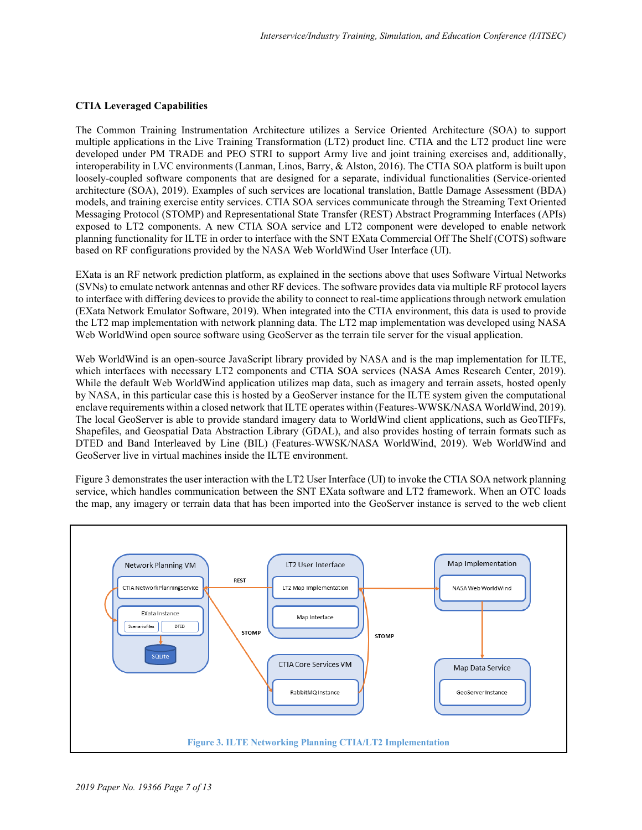#### **CTIA Leveraged Capabilities**

The Common Training Instrumentation Architecture utilizes a Service Oriented Architecture (SOA) to support multiple applications in the Live Training Transformation (LT2) product line. CTIA and the LT2 product line were developed under PM TRADE and PEO STRI to support Army live and joint training exercises and, additionally, interoperability in LVC environments (Lanman, Linos, Barry, & Alston, 2016). The CTIA SOA platform is built upon loosely-coupled software components that are designed for a separate, individual functionalities (Service-oriented architecture (SOA), 2019). Examples of such services are locational translation, Battle Damage Assessment (BDA) models, and training exercise entity services. CTIA SOA services communicate through the Streaming Text Oriented Messaging Protocol (STOMP) and Representational State Transfer (REST) Abstract Programming Interfaces (APIs) exposed to LT2 components. A new CTIA SOA service and LT2 component were developed to enable network planning functionality for ILTE in order to interface with the SNT EXata Commercial Off The Shelf (COTS) software based on RF configurations provided by the NASA Web WorldWind User Interface (UI).

EXata is an RF network prediction platform, as explained in the sections above that uses Software Virtual Networks (SVNs) to emulate network antennas and other RF devices. The software provides data via multiple RF protocol layers to interface with differing devices to provide the ability to connect to real-time applications through network emulation (EXata Network Emulator Software, 2019). When integrated into the CTIA environment, this data is used to provide the LT2 map implementation with network planning data. The LT2 map implementation was developed using NASA Web WorldWind open source software using GeoServer as the terrain tile server for the visual application.

Web WorldWind is an open-source JavaScript library provided by NASA and is the map implementation for ILTE, which interfaces with necessary LT2 components and CTIA SOA services (NASA Ames Research Center, 2019). While the default Web WorldWind application utilizes map data, such as imagery and terrain assets, hosted openly by NASA, in this particular case this is hosted by a GeoServer instance for the ILTE system given the computational enclave requirements within a closed network that ILTE operates within (Features-WWSK/NASA WorldWind, 2019). The local GeoServer is able to provide standard imagery data to WorldWind client applications, such as GeoTIFFs, Shapefiles, and Geospatial Data Abstraction Library (GDAL), and also provides hosting of terrain formats such as DTED and Band Interleaved by Line (BIL) (Features-WWSK/NASA WorldWind, 2019). Web WorldWind and GeoServer live in virtual machines inside the ILTE environment.

[Figure 3](#page-6-0) demonstrates the user interaction with the LT2 User Interface (UI) to invoke the CTIA SOA network planning service, which handles communication between the SNT EXata software and LT2 framework. When an OTC loads the map, any imagery or terrain data that has been imported into the GeoServer instance is served to the web client

<span id="page-6-0"></span>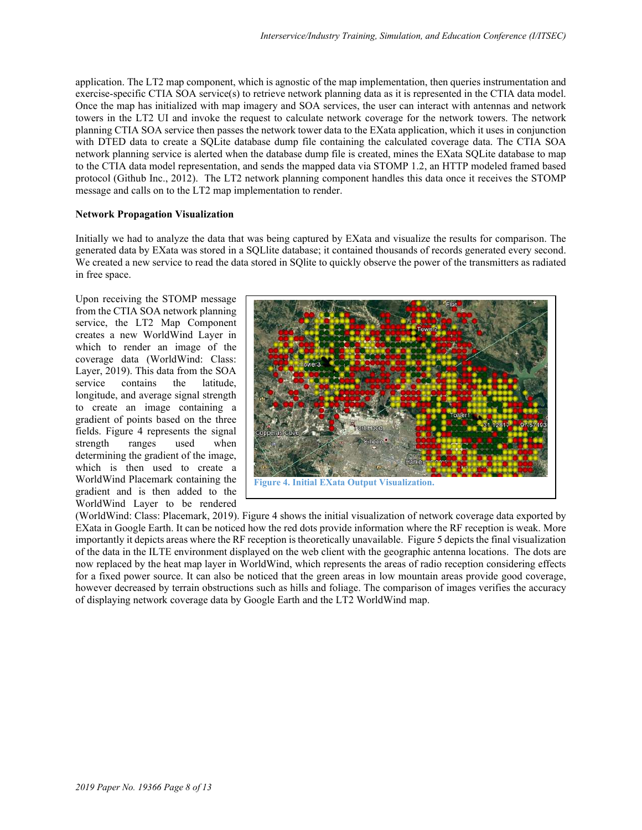application. The LT2 map component, which is agnostic of the map implementation, then queries instrumentation and exercise-specific CTIA SOA service(s) to retrieve network planning data as it is represented in the CTIA data model. Once the map has initialized with map imagery and SOA services, the user can interact with antennas and network towers in the LT2 UI and invoke the request to calculate network coverage for the network towers. The network planning CTIA SOA service then passes the network tower data to the EXata application, which it uses in conjunction with DTED data to create a SQLite database dump file containing the calculated coverage data. The CTIA SOA network planning service is alerted when the database dump file is created, mines the EXata SQLite database to map to the CTIA data model representation, and sends the mapped data via STOMP 1.2, an HTTP modeled framed based protocol (Github Inc., 2012). The LT2 network planning component handles this data once it receives the STOMP message and calls on to the LT2 map implementation to render.

#### **Network Propagation Visualization**

Initially we had to analyze the data that was being captured by EXata and visualize the results for comparison. The generated data by EXata was stored in a SQLlite database; it contained thousands of records generated every second. We created a new service to read the data stored in SQ lite to quickly observe the power of the transmitters as radiated in free space.

Upon receiving the STOMP message from the CTIA SOA network planning service, the LT2 Map Component creates a new WorldWind Layer in which to render an image of the coverage data (WorldWind: Class: Layer, 2019). This data from the SOA service contains the latitude, longitude, and average signal strength to create an image containing a gradient of points based on the three fields. [Figure 4](#page-7-0) represents the signal strength ranges used when determining the gradient of the image, which is then used to create a WorldWind Placemark containing the gradient and is then added to the WorldWind Layer to be rendered



<span id="page-7-0"></span>(WorldWind: Class: Placemark, 2019). [Figure 4](#page-7-0) shows the initial visualization of network coverage data exported by EXata in Google Earth. It can be noticed how the red dots provide information where the RF reception is weak. More importantly it depicts areas where the RF reception is theoretically unavailable. [Figure 5 d](#page-9-0)epicts the final visualization of the data in the ILTE environment displayed on the web client with the geographic antenna locations. The dots are now replaced by the heat map layer in WorldWind, which represents the areas of radio reception considering effects for a fixed power source. It can also be noticed that the green areas in low mountain areas provide good coverage, however decreased by terrain obstructions such as hills and foliage. The comparison of images verifies the accuracy of displaying network coverage data by Google Earth and the LT2 WorldWind map.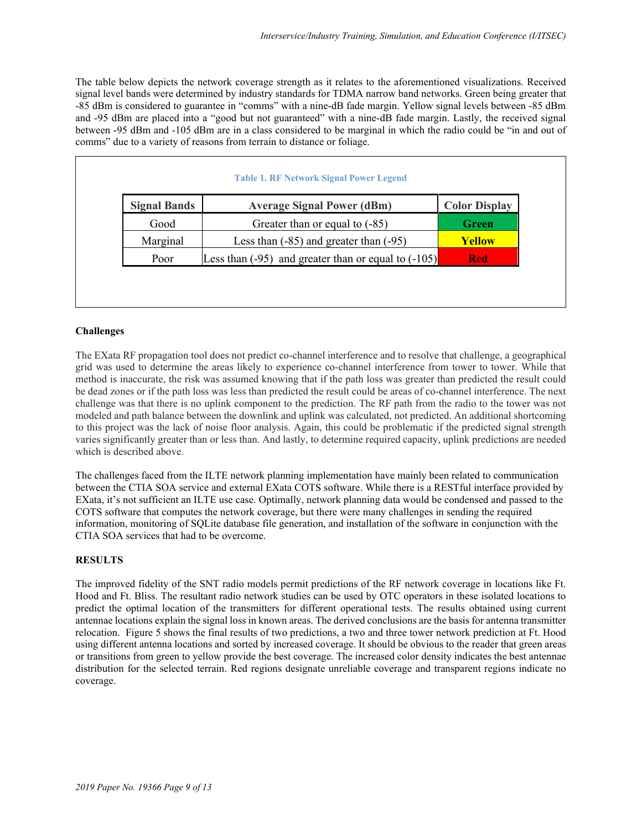The table below depicts the network coverage strength as it relates to the aforementioned visualizations. Received signal level bands were determined by industry standards for TDMA narrow band networks. Green being greater that -85 dBm is considered to guarantee in "comms" with a nine-dB fade margin. Yellow signal levels between -85 dBm and -95 dBm are placed into a "good but not guaranteed" with a nine-dB fade margin. Lastly, the received signal between -95 dBm and -105 dBm are in a class considered to be marginal in which the radio could be "in and out of comms" due to a variety of reasons from terrain to distance or foliage.

| <b>Signal Bands</b> | <b>Average Signal Power (dBm)</b>                       | <b>Color Display</b> |
|---------------------|---------------------------------------------------------|----------------------|
| Good                | Greater than or equal to $(-85)$                        | <b>Green</b>         |
| Marginal            | Less than $(-85)$ and greater than $(-95)$              | <b>Yellow</b>        |
| Poor                | Less than $(-95)$ and greater than or equal to $(-105)$ | <b>Red</b>           |

## **Challenges**

The EXata RF propagation tool does not predict co-channel interference and to resolve that challenge, a geographical grid was used to determine the areas likely to experience co-channel interference from tower to tower. While that method is inaccurate, the risk was assumed knowing that if the path loss was greater than predicted the result could be dead zones or if the path loss was less than predicted the result could be areas of co-channel interference. The next challenge was that there is no uplink component to the prediction. The RF path from the radio to the tower was not modeled and path balance between the downlink and uplink was calculated, not predicted. An additional shortcoming to this project was the lack of noise floor analysis. Again, this could be problematic if the predicted signal strength varies significantly greater than or less than. And lastly, to determine required capacity, uplink predictions are needed which is described above.

The challenges faced from the ILTE network planning implementation have mainly been related to communication between the CTIA SOA service and external EXata COTS software. While there is a RESTful interface provided by EXata, it's not sufficient an ILTE use case. Optimally, network planning data would be condensed and passed to the COTS software that computes the network coverage, but there were many challenges in sending the required information, monitoring of SQLite database file generation, and installation of the software in conjunction with the CTIA SOA services that had to be overcome.

## **RESULTS**

The improved fidelity of the SNT radio models permit predictions of the RF network coverage in locations like Ft. Hood and Ft. Bliss. The resultant radio network studies can be used by OTC operators in these isolated locations to predict the optimal location of the transmitters for different operational tests. The results obtained using current antennae locations explain the signal loss in known areas. The derived conclusions are the basis for antenna transmitter relocation. [Figure 5](#page-9-0) shows the final results of two predictions, a two and three tower network prediction at Ft. Hood using different antenna locations and sorted by increased coverage. It should be obvious to the reader that green areas or transitions from green to yellow provide the best coverage. The increased color density indicates the best antennae distribution for the selected terrain. Red regions designate unreliable coverage and transparent regions indicate no coverage.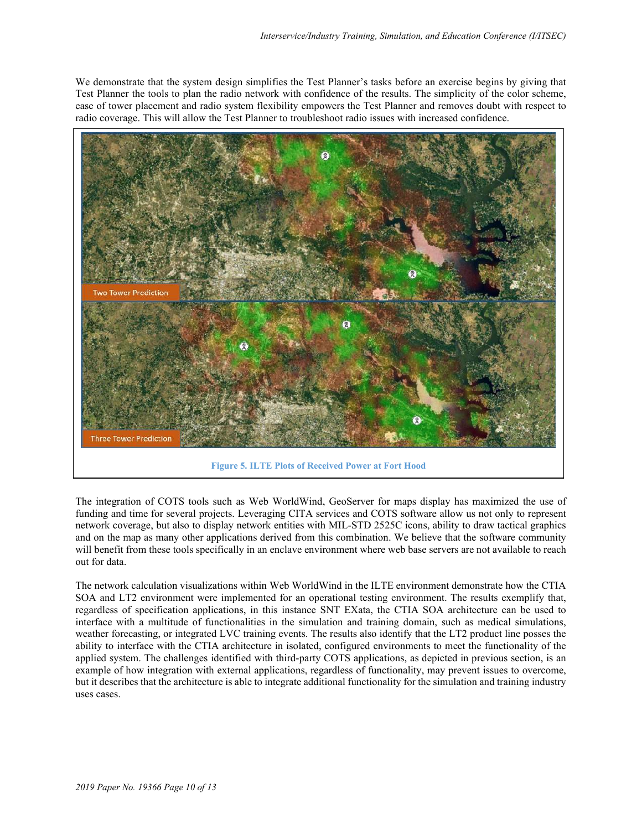We demonstrate that the system design simplifies the Test Planner's tasks before an exercise begins by giving that Test Planner the tools to plan the radio network with confidence of the results. The simplicity of the color scheme, ease of tower placement and radio system flexibility empowers the Test Planner and removes doubt with respect to radio coverage. This will allow the Test Planner to troubleshoot radio issues with increased confidence.



<span id="page-9-0"></span>The integration of COTS tools such as Web WorldWind, GeoServer for maps display has maximized the use of funding and time for several projects. Leveraging CITA services and COTS software allow us not only to represent network coverage, but also to display network entities with MIL-STD 2525C icons, ability to draw tactical graphics and on the map as many other applications derived from this combination. We believe that the software community will benefit from these tools specifically in an enclave environment where web base servers are not available to reach out for data.

The network calculation visualizations within Web WorldWind in the ILTE environment demonstrate how the CTIA SOA and LT2 environment were implemented for an operational testing environment. The results exemplify that, regardless of specification applications, in this instance SNT EXata, the CTIA SOA architecture can be used to interface with a multitude of functionalities in the simulation and training domain, such as medical simulations, weather forecasting, or integrated LVC training events. The results also identify that the LT2 product line posses the ability to interface with the CTIA architecture in isolated, configured environments to meet the functionality of the applied system. The challenges identified with third-party COTS applications, as depicted in previous section, is an example of how integration with external applications, regardless of functionality, may prevent issues to overcome, but it describes that the architecture is able to integrate additional functionality for the simulation and training industry uses cases.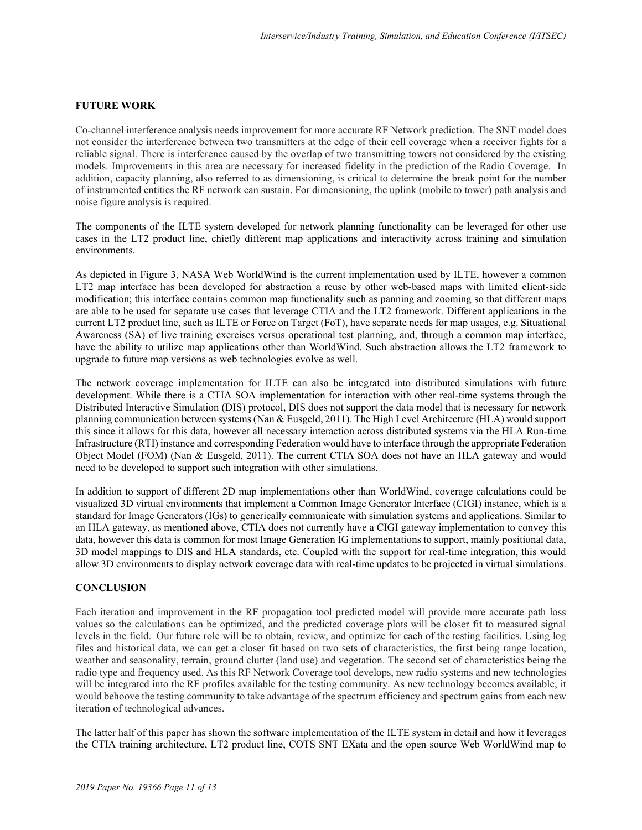### **FUTURE WORK**

Co-channel interference analysis needs improvement for more accurate RF Network prediction. The SNT model does not consider the interference between two transmitters at the edge of their cell coverage when a receiver fights for a reliable signal. There is interference caused by the overlap of two transmitting towers not considered by the existing models. Improvements in this area are necessary for increased fidelity in the prediction of the Radio Coverage. In addition, capacity planning, also referred to as dimensioning, is critical to determine the break point for the number of instrumented entities the RF network can sustain. For dimensioning, the uplink (mobile to tower) path analysis and noise figure analysis is required.

The components of the ILTE system developed for network planning functionality can be leveraged for other use cases in the LT2 product line, chiefly different map applications and interactivity across training and simulation environments.

As depicted in [Figure 3,](#page-6-0) NASA Web WorldWind is the current implementation used by ILTE, however a common LT2 map interface has been developed for abstraction a reuse by other web-based maps with limited client-side modification; this interface contains common map functionality such as panning and zooming so that different maps are able to be used for separate use cases that leverage CTIA and the LT2 framework. Different applications in the current LT2 product line, such as ILTE or Force on Target (FoT), have separate needs for map usages, e.g. Situational Awareness (SA) of live training exercises versus operational test planning, and, through a common map interface, have the ability to utilize map applications other than WorldWind. Such abstraction allows the LT2 framework to upgrade to future map versions as web technologies evolve as well.

The network coverage implementation for ILTE can also be integrated into distributed simulations with future development. While there is a CTIA SOA implementation for interaction with other real-time systems through the Distributed Interactive Simulation (DIS) protocol, DIS does not support the data model that is necessary for network planning communication between systems (Nan & Eusgeld, 2011). The High Level Architecture (HLA) would support this since it allows for this data, however all necessary interaction across distributed systems via the HLA Run-time Infrastructure (RTI) instance and corresponding Federation would have to interface through the appropriate Federation Object Model (FOM) (Nan & Eusgeld, 2011). The current CTIA SOA does not have an HLA gateway and would need to be developed to support such integration with other simulations.

In addition to support of different 2D map implementations other than WorldWind, coverage calculations could be visualized 3D virtual environments that implement a Common Image Generator Interface (CIGI) instance, which is a standard for Image Generators (IGs) to generically communicate with simulation systems and applications. Similar to an HLA gateway, as mentioned above, CTIA does not currently have a CIGI gateway implementation to convey this data, however this data is common for most Image Generation IG implementations to support, mainly positional data, 3D model mappings to DIS and HLA standards, etc. Coupled with the support for real-time integration, this would allow 3D environments to display network coverage data with real-time updates to be projected in virtual simulations.

### **CONCLUSION**

Each iteration and improvement in the RF propagation tool predicted model will provide more accurate path loss values so the calculations can be optimized, and the predicted coverage plots will be closer fit to measured signal levels in the field. Our future role will be to obtain, review, and optimize for each of the testing facilities. Using log files and historical data, we can get a closer fit based on two sets of characteristics, the first being range location, weather and seasonality, terrain, ground clutter (land use) and vegetation. The second set of characteristics being the radio type and frequency used. As this RF Network Coverage tool develops, new radio systems and new technologies will be integrated into the RF profiles available for the testing community. As new technology becomes available; it would behoove the testing community to take advantage of the spectrum efficiency and spectrum gains from each new iteration of technological advances.

The latter half of this paper has shown the software implementation of the ILTE system in detail and how it leverages the CTIA training architecture, LT2 product line, COTS SNT EXata and the open source Web WorldWind map to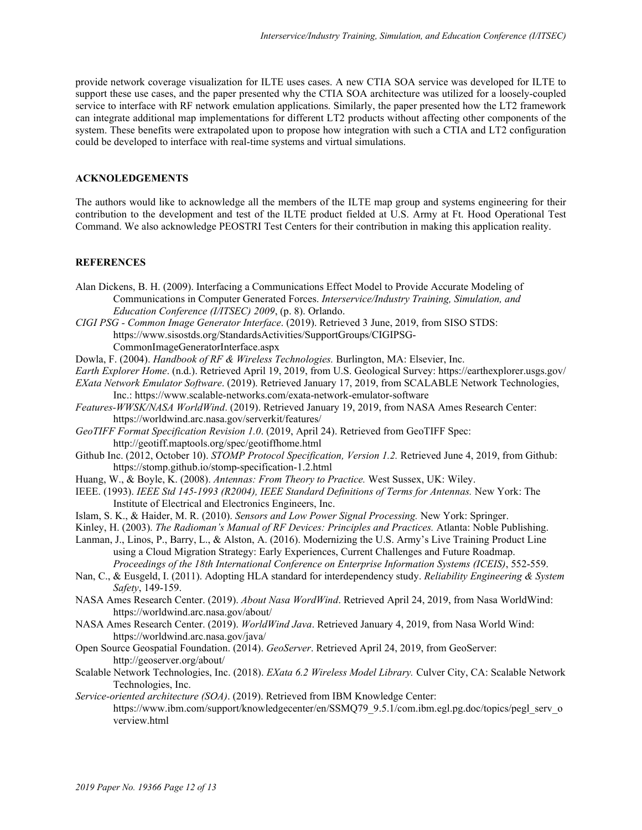provide network coverage visualization for ILTE uses cases. A new CTIA SOA service was developed for ILTE to support these use cases, and the paper presented why the CTIA SOA architecture was utilized for a loosely-coupled service to interface with RF network emulation applications. Similarly, the paper presented how the LT2 framework can integrate additional map implementations for different LT2 products without affecting other components of the system. These benefits were extrapolated upon to propose how integration with such a CTIA and LT2 configuration could be developed to interface with real-time systems and virtual simulations.

### **ACKNOLEDGEMENTS**

The authors would like to acknowledge all the members of the ILTE map group and systems engineering for their contribution to the development and test of the ILTE product fielded at U.S. Army at Ft. Hood Operational Test Command. We also acknowledge PEOSTRI Test Centers for their contribution in making this application reality.

#### **REFERENCES**

- Alan Dickens, B. H. (2009). Interfacing a Communications Effect Model to Provide Accurate Modeling of Communications in Computer Generated Forces. *Interservice/Industry Training, Simulation, and Education Conference (I/ITSEC) 2009*, (p. 8). Orlando.
- *CIGI PSG Common Image Generator Interface*. (2019). Retrieved 3 June, 2019, from SISO STDS: https://www.sisostds.org/StandardsActivities/SupportGroups/CIGIPSG-

CommonImageGeneratorInterface.aspx

Dowla, F. (2004). *Handbook of RF & Wireless Technologies.* Burlington, MA: Elsevier, Inc.

*Earth Explorer Home*. (n.d.). Retrieved April 19, 2019, from U.S. Geological Survey: https://earthexplorer.usgs.gov/

*EXata Network Emulator Software*. (2019). Retrieved January 17, 2019, from SCALABLE Network Technologies, Inc.: https://www.scalable-networks.com/exata-network-emulator-software

*Features-WWSK/NASA WorldWind*. (2019). Retrieved January 19, 2019, from NASA Ames Research Center: https://worldwind.arc.nasa.gov/serverkit/features/

*GeoTIFF Format Specification Revision 1.0*. (2019, April 24). Retrieved from GeoTIFF Spec: http://geotiff.maptools.org/spec/geotiffhome.html

- Github Inc. (2012, October 10). *STOMP Protocol Specification, Version 1.2.* Retrieved June 4, 2019, from Github: https://stomp.github.io/stomp-specification-1.2.html
- Huang, W., & Boyle, K. (2008). *Antennas: From Theory to Practice.* West Sussex, UK: Wiley.
- IEEE. (1993). *IEEE Std 145-1993 (R2004), IEEE Standard Definitions of Terms for Antennas.* New York: The Institute of Electrical and Electronics Engineers, Inc.
- Islam, S. K., & Haider, M. R. (2010). *Sensors and Low Power Signal Processing.* New York: Springer.
- Kinley, H. (2003). *The Radioman's Manual of RF Devices: Principles and Practices.* Atlanta: Noble Publishing.

Lanman, J., Linos, P., Barry, L., & Alston, A. (2016). Modernizing the U.S. Army's Live Training Product Line using a Cloud Migration Strategy: Early Experiences, Current Challenges and Future Roadmap. *Proceedings of the 18th International Conference on Enterprise Information Systems (ICEIS)*, 552-559.

- Nan, C., & Eusgeld, I. (2011). Adopting HLA standard for interdependency study. *Reliability Engineering & System Safety*, 149-159.
- NASA Ames Research Center. (2019). *About Nasa WordWind*. Retrieved April 24, 2019, from Nasa WorldWind: https://worldwind.arc.nasa.gov/about/
- NASA Ames Research Center. (2019). *WorldWind Java*. Retrieved January 4, 2019, from Nasa World Wind: https://worldwind.arc.nasa.gov/java/
- Open Source Geospatial Foundation. (2014). *GeoServer*. Retrieved April 24, 2019, from GeoServer: http://geoserver.org/about/
- Scalable Network Technologies, Inc. (2018). *EXata 6.2 Wireless Model Library.* Culver City, CA: Scalable Network Technologies, Inc.
- *Service-oriented architecture (SOA)*. (2019). Retrieved from IBM Knowledge Center: https://www.ibm.com/support/knowledgecenter/en/SSMQ79\_9.5.1/com.ibm.egl.pg.doc/topics/pegl\_serv\_o verview.html